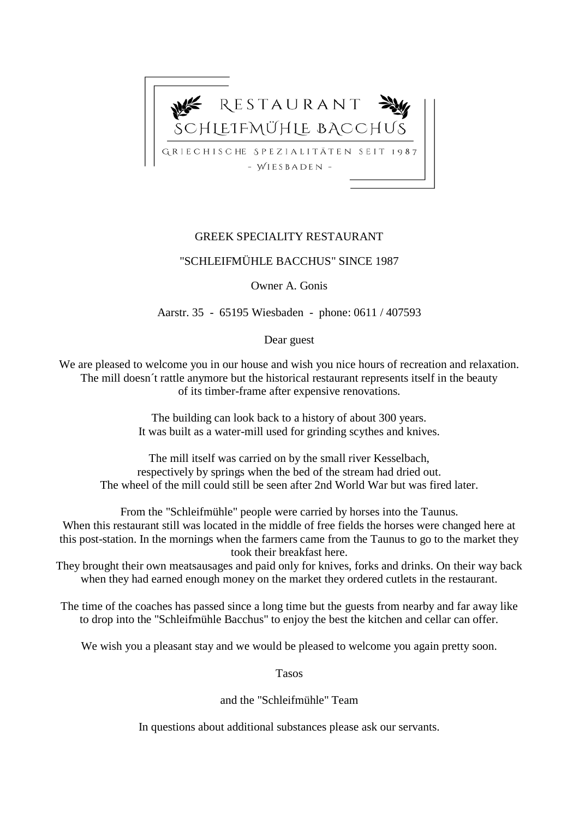

#### GREEK SPECIALITY RESTAURANT

#### "SCHLEIFMÜHLE BACCHUS" SINCE 1987

Owner A. Gonis

Aarstr. 35 - 65195 Wiesbaden - phone: 0611 / 407593

Dear guest

We are pleased to welcome you in our house and wish you nice hours of recreation and relaxation. The mill doesn´t rattle anymore but the historical restaurant represents itself in the beauty of its timber-frame after expensive renovations.

> The building can look back to a history of about 300 years. It was built as a water-mill used for grinding scythes and knives.

The mill itself was carried on by the small river Kesselbach, respectively by springs when the bed of the stream had dried out. The wheel of the mill could still be seen after 2nd World War but was fired later.

From the "Schleifmühle" people were carried by horses into the Taunus. When this restaurant still was located in the middle of free fields the horses were changed here at this post-station. In the mornings when the farmers came from the Taunus to go to the market they took their breakfast here.

They brought their own meatsausages and paid only for knives, forks and drinks. On their way back when they had earned enough money on the market they ordered cutlets in the restaurant.

The time of the coaches has passed since a long time but the guests from nearby and far away like to drop into the "Schleifmühle Bacchus" to enjoy the best the kitchen and cellar can offer.

We wish you a pleasant stay and we would be pleased to welcome you again pretty soon.

Tasos

and the "Schleifmühle" Team

In questions about additional substances please ask our servants.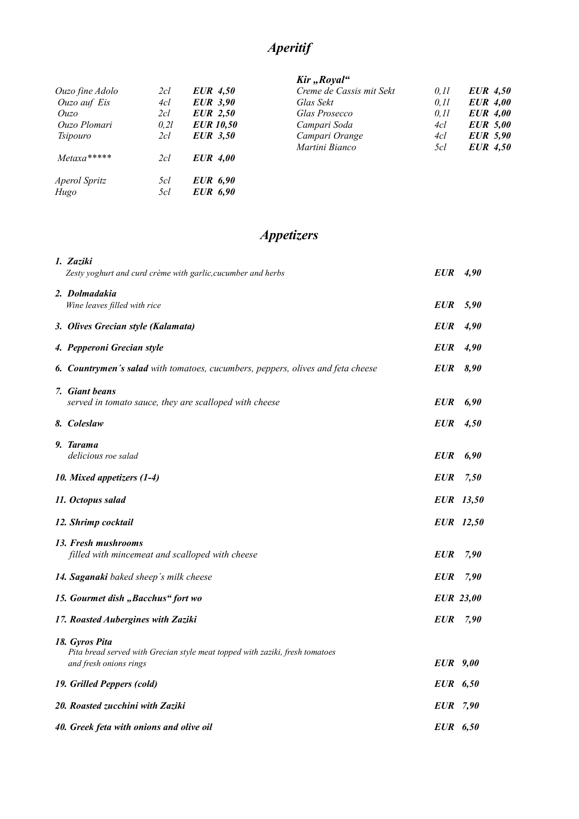# *Aperitif*

#### $\overline{K}$ *kir* "*Royal"*

|                 |       |                  | $\cdots$ , we have       |       |                 |
|-----------------|-------|------------------|--------------------------|-------|-----------------|
| Ouzo fine Adolo | 2cl   | <b>EUR</b> 4,50  | Creme de Cassis mit Sekt | 0, 11 | <b>EUR</b> 4,50 |
| Ouzo auf Eis    | 4cl   | <b>EUR</b> 3,90  | Glas Sekt                | 0, 11 | <b>EUR</b> 4,00 |
| Ouzo            | 2cl   | <b>EUR</b> 2,50  | Glas Prosecco            | 0, 11 | <b>EUR</b> 4,00 |
| Ouzo Plomari    | 0, 2l | <b>EUR</b> 10,50 | Campari Soda             | 4cl   | <b>EUR</b> 5,00 |
| <i>Tsipouro</i> | 2cl   | <b>EUR</b> 3.50  | Campari Orange           | 4cl   | <b>EUR</b> 5,90 |
|                 |       |                  | Martini Bianco           | 5cl   | <b>EUR</b> 4,50 |
| $Metaxa***$     | 2cl   | <b>EUR</b> 4,00  |                          |       |                 |
| Aperol Spritz   | 5cl   | <b>EUR</b> 6,90  |                          |       |                 |
| Hugo            | 5cl   | <b>EUR</b> 6,90  |                          |       |                 |
|                 |       |                  |                          |       |                 |

# *Appetizers*

| 1. Zaziki                                                                                              |                 |                  |
|--------------------------------------------------------------------------------------------------------|-----------------|------------------|
| Zesty yoghurt and curd crème with garlic, cucumber and herbs                                           | EUR             | 4,90             |
| 2. Dolmadakia                                                                                          |                 |                  |
| Wine leaves filled with rice                                                                           | <b>EUR</b>      | 5,90             |
| 3. Olives Grecian style (Kalamata)                                                                     | <b>EUR</b>      | 4,90             |
| 4. Pepperoni Grecian style                                                                             | <b>EUR</b>      | 4,90             |
| 6. Countrymen's salad with tomatoes, cucumbers, peppers, olives and feta cheese                        | <b>EUR</b>      | 8,90             |
| 7. Giant beans                                                                                         |                 |                  |
| served in tomato sauce, they are scalloped with cheese                                                 | <b>EUR</b>      | 6,90             |
| 8. Coleslaw                                                                                            | <b>EUR</b>      | 4,50             |
| 9. Tarama                                                                                              |                 |                  |
| delicious roe salad                                                                                    | <b>EUR</b>      | 6,90             |
| 10. Mixed appetizers (1-4)                                                                             | <b>EUR</b>      | 7,50             |
| 11. Octopus salad                                                                                      |                 | EUR 13,50        |
| 12. Shrimp cocktail                                                                                    |                 | EUR 12,50        |
| 13. Fresh mushrooms                                                                                    |                 |                  |
| filled with mincemeat and scalloped with cheese                                                        | <b>EUR</b>      | 7,90             |
| 14. Saganaki baked sheep's milk cheese                                                                 | <b>EUR</b>      | 7,90             |
| 15. Gourmet dish "Bacchus" fort wo                                                                     |                 | <b>EUR</b> 23,00 |
| 17. Roasted Aubergines with Zaziki                                                                     | <b>EUR</b>      | 7,90             |
| 18. Gyros Pita                                                                                         |                 |                  |
| Pita bread served with Grecian style meat topped with zaziki, fresh tomatoes<br>and fresh onions rings | <b>EUR</b> 9,00 |                  |
| 19. Grilled Peppers (cold)                                                                             | EUR 6,50        |                  |
| 20. Roasted zucchini with Zaziki                                                                       | EUR 7,90        |                  |
| 40. Greek feta with onions and olive oil                                                               | EUR 6,50        |                  |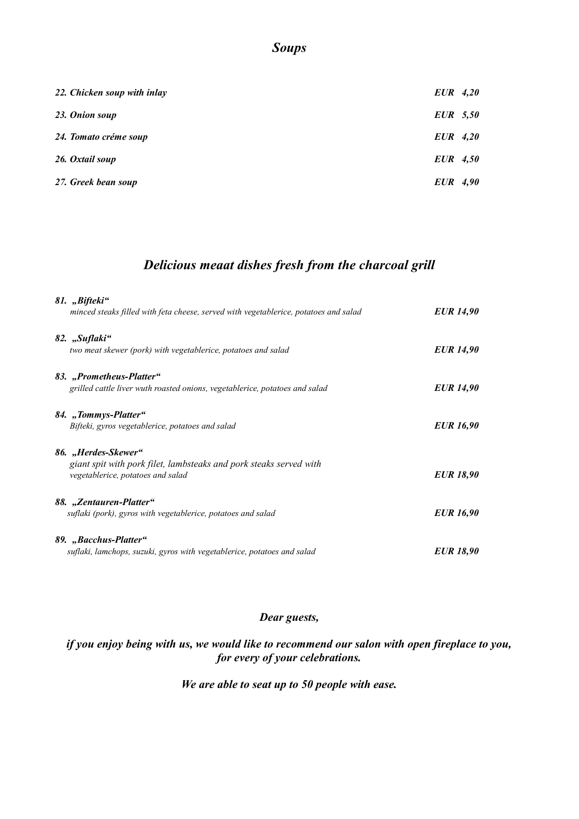#### *Soups*

| 22. Chicken soup with inlay | $EUR$ 4,20 |  |
|-----------------------------|------------|--|
| 23. Onion soup              | $EUR$ 5,50 |  |
| 24. Tomato créme soup       | $EUR$ 4,20 |  |
| 26. Oxtail soup             | $EUR$ 4,50 |  |
| 27. Greek bean soup         | EUR 4,90   |  |

# *Delicious meaat dishes fresh from the charcoal grill*

| 81. "Bifteki"<br>minced steaks filled with feta cheese, served with vegetablerice, potatoes and salad                          | <b>EUR 14,90</b> |
|--------------------------------------------------------------------------------------------------------------------------------|------------------|
| 82. "Suflaki"<br>two meat skewer (pork) with vegetablerice, potatoes and salad                                                 | <b>EUR</b> 14,90 |
| 83. "Prometheus-Platter"<br>grilled cattle liver wuth roasted onions, vegetablerice, potatoes and salad                        | <b>EUR 14,90</b> |
| 84. "Tommys-Platter"<br>Bifteki, gyros vegetablerice, potatoes and salad                                                       | <b>EUR</b> 16,90 |
| 86. "Herdes-Skewer"<br>giant spit with pork filet, lambsteaks and pork steaks served with<br>vegetablerice, potatoes and salad | <b>EUR 18,90</b> |
| 88. "Zentauren-Platter"<br>suflaki (pork), gyros with vegetablerice, potatoes and salad                                        | <b>EUR</b> 16,90 |
| 89. "Bacchus-Platter"<br>suflaki, lamchops, suzuki, gyros with vegetablerice, potatoes and salad                               | <b>EUR 18,90</b> |

#### *Dear guests,*

#### *if you enjoy being with us, we would like to recommend our salon with open fireplace to you, for every of your celebrations.*

#### *We are able to seat up to 50 people with ease.*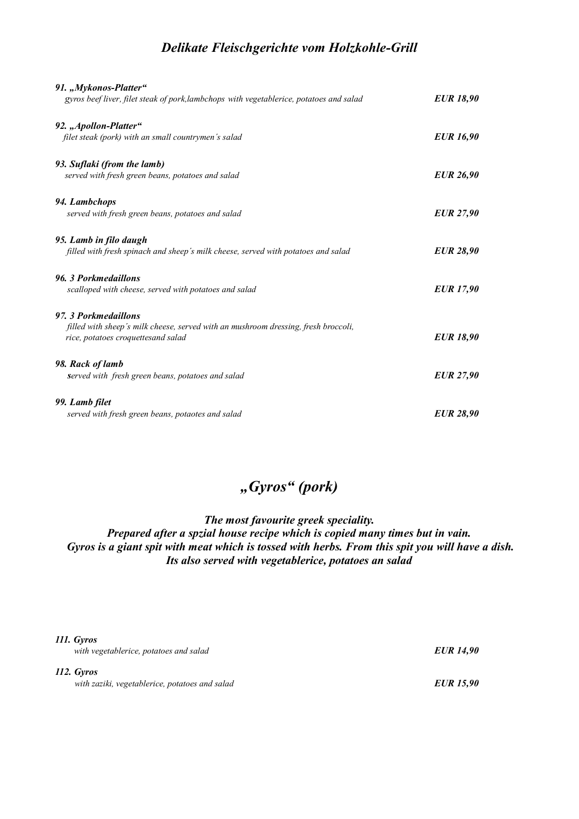### *Delikate Fleischgerichte vom Holzkohle-Grill*

| 91., Mykonos-Platter"<br>gyros beef liver, filet steak of pork, lambchops with vegetablerice, potatoes and salad | <b>EUR</b> 18,90 |
|------------------------------------------------------------------------------------------------------------------|------------------|
| 92. "Apollon-Platter"                                                                                            |                  |
| filet steak (pork) with an small countrymen's salad                                                              | <b>EUR</b> 16,90 |
| 93. Suflaki (from the lamb)                                                                                      |                  |
| served with fresh green beans, potatoes and salad                                                                | <b>EUR 26,90</b> |
| 94. Lambchops                                                                                                    |                  |
| served with fresh green beans, potatoes and salad                                                                | <b>EUR 27,90</b> |
| 95. Lamb in filo daugh                                                                                           |                  |
| filled with fresh spinach and sheep's milk cheese, served with potatoes and salad                                | <b>EUR 28,90</b> |
| 96. 3 Porkmedaillons                                                                                             |                  |
| scalloped with cheese, served with potatoes and salad                                                            | <b>EUR</b> 17,90 |
| 97. 3 Porkmedaillons                                                                                             |                  |
| filled with sheep's milk cheese, served with an mushroom dressing, fresh broccoli,                               |                  |
| rice, potatoes croquettesand salad                                                                               | <b>EUR 18,90</b> |
| 98. Rack of lamb                                                                                                 |                  |
| <b>served</b> with fresh green beans, potatoes and salad                                                         | <b>EUR 27,90</b> |
| 99. Lamb filet                                                                                                   |                  |
| served with fresh green beans, potaotes and salad                                                                | <b>EUR 28,90</b> |

# *"Gyros" (pork)*

*The most favourite greek speciality.* 

*Prepared after a spzial house recipe which is copied many times but in vain. Gyros is a giant spit with meat which is tossed with herbs. From this spit you will have a dish. Its also served with vegetablerice, potatoes an salad*

| 111. Gyros<br>with vegetablerice, potatoes and salad         | <b>EUR</b> 14,90 |
|--------------------------------------------------------------|------------------|
| 112. Gyros<br>with zaziki, vegetablerice, potatoes and salad | <b>EUR</b> 15,90 |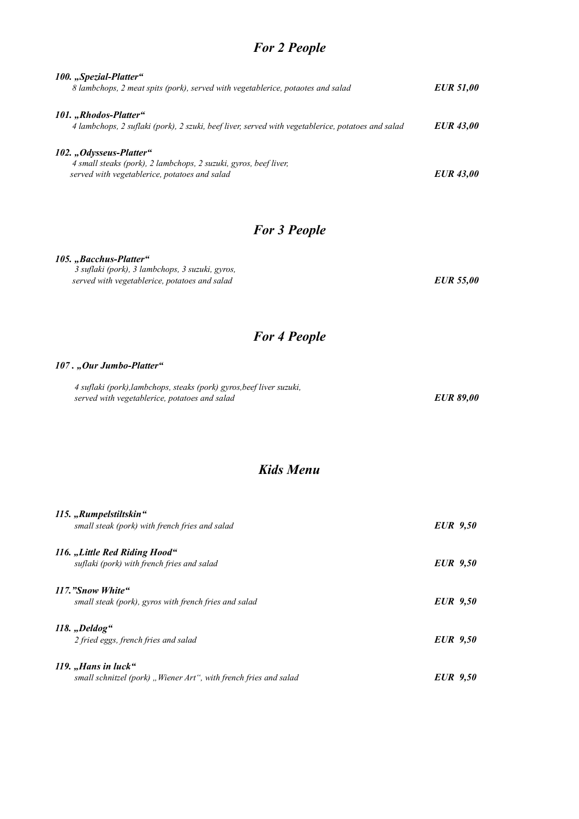# *For 2 People*

| 100. "Spezial-Platter"<br>8 lambchops, 2 meat spits (pork), served with vegetablerice, potaotes and salad                                    | <b>EUR 51,00</b> |
|----------------------------------------------------------------------------------------------------------------------------------------------|------------------|
| 101. "Rhodos-Platter"<br>4 lambchops, 2 suflaki (pork), 2 szuki, beef liver, served with vegetablerice, potatoes and salad                   | <b>EUR 43,00</b> |
| 102., Odysseus-Platter"<br>4 small steaks (pork), 2 lambchops, 2 suzuki, gyros, beef liver,<br>served with vegetablerice, potatoes and salad | <b>EUR 43,00</b> |

# *For 3 People*

#### *105. "Bacchus-Platter"*

 *3 suflaki (pork), 3 lambchops, 3 suzuki, gyros, served with vegetablerice, potatoes and salad EUR 55,00*

# *For 4 People*

#### *107 . "Our Jumbo-Platter"*

| 4 suflaki (pork), lambchops, steaks (pork) gyros, beef liver suzuki, |                  |
|----------------------------------------------------------------------|------------------|
| served with vegetablerice, potatoes and salad                        | <b>EUR 89,00</b> |

# *Kids Menu*

| 115., Rumpelstiltskin"<br>small steak (pork) with french fries and salad                  | <b>EUR</b> 9.50 |
|-------------------------------------------------------------------------------------------|-----------------|
| 116. "Little Red Riding Hood"<br>suflaki (pork) with french fries and salad               | <b>EUR</b> 9.50 |
| 117. "Snow White"<br>small steak (pork), gyros with french fries and salad                | <b>EUR</b> 9,50 |
| 118. "Deldog"<br>2 fried eggs, french fries and salad                                     | <b>EUR</b> 9.50 |
| 119. $Hans$ in luck "<br>small schnitzel (pork), Wiener Art", with french fries and salad | <b>EUR</b> 9.50 |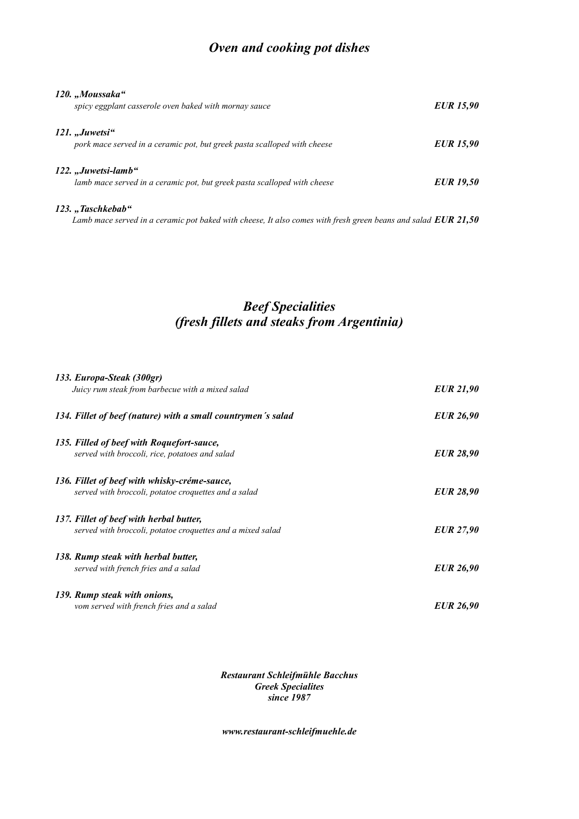# *Oven and cooking pot dishes*

| 120. "Moussaka"<br>spicy eggplant casserole oven baked with mornay sauce                        | <b>EUR</b> 15,90 |
|-------------------------------------------------------------------------------------------------|------------------|
| 121. "Juwetsi"<br>pork mace served in a ceramic pot, but greek pasta scalloped with cheese      | <b>EUR</b> 15,90 |
| 122. "Juwetsi-lamb"<br>lamb mace served in a ceramic pot, but greek pasta scalloped with cheese | <b>EUR</b> 19,50 |
| 123., Taschkebab"                                                                               |                  |

 *Lamb mace served in a ceramic pot baked with cheese, It also comes with fresh green beans and salad EUR 21,50*

# *Beef Specialities (fresh fillets and steaks from Argentinia)*

| 133. Europa-Steak (300gr)<br>Juicy rum steak from barbecue with a mixed salad | <b>EUR 21,90</b> |
|-------------------------------------------------------------------------------|------------------|
| 134. Fillet of beef (nature) with a small countrymen's salad                  | <b>EUR 26,90</b> |
| 135. Filled of beef with Roquefort-sauce,                                     |                  |
| served with broccoli, rice, potatoes and salad                                | <b>EUR 28,90</b> |
| 136. Fillet of beef with whisky-créme-sauce,                                  |                  |
| served with broccoli, potatoe croquettes and a salad                          | <b>EUR 28,90</b> |
| 137. Fillet of beef with herbal butter,                                       |                  |
| served with broccoli, potatoe croquettes and a mixed salad                    | <b>EUR</b> 27,90 |
| 138. Rump steak with herbal butter,                                           |                  |
| served with french fries and a salad                                          | <b>EUR 26,90</b> |
| 139. Rump steak with onions,                                                  |                  |
| vom served with french fries and a salad                                      | <b>EUR 26,90</b> |

*Restaurant Schleifmühle Bacchus Greek Specialites since 1987*

*www.restaurant-schleifmuehle.de*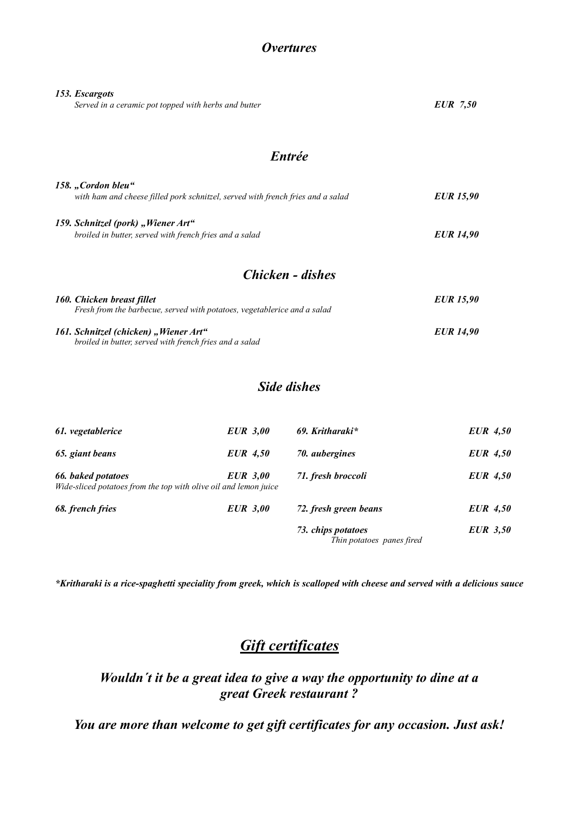### *Overtures*

| 153. Escargots<br>Served in a ceramic pot topped with herbs and butter                                 | <b>EUR</b> 7,50  |
|--------------------------------------------------------------------------------------------------------|------------------|
| <b>Entrée</b>                                                                                          |                  |
| 158. "Cordon bleu"<br>with ham and cheese filled pork schnitzel, served with french fries and a salad  | <b>EUR</b> 15,90 |
| 159. Schnitzel (pork) "Wiener Art"<br>broiled in butter, served with french fries and a salad          | <b>EUR</b> 14,90 |
| Chicken - dishes                                                                                       |                  |
| 160. Chicken breast fillet<br>Fresh from the barbecue, served with potatoes, vegetablerice and a salad | <b>EUR</b> 15,90 |
| 161. Schnitzel (chicken) "Wiener Art"                                                                  | <b>EUR</b> 14,90 |

 *broiled in butter, served with french fries and a salad*

#### *Side dishes*

| 61. vegetablerice                                                                      | <b>EUR</b> 3,00 | 69. Kritharaki*                                 | <b>EUR</b> 4,50 |
|----------------------------------------------------------------------------------------|-----------------|-------------------------------------------------|-----------------|
| 65. giant beans                                                                        | <b>EUR</b> 4,50 | 70. aubergines                                  | $EUR\ 4,50$     |
| 66. baked potatoes<br>Wide-sliced potatoes from the top with olive oil and lemon juice | <b>EUR</b> 3,00 | 71. fresh broccoli                              | $EUR\ 4,50$     |
| 68. french fries                                                                       | <b>EUR</b> 3,00 | 72. fresh green beans                           | <b>EUR</b> 4,50 |
|                                                                                        |                 | 73. chips potatoes<br>Thin potatoes panes fired | <b>EUR</b> 3,50 |

*\*Kritharaki is a rice-spaghetti speciality from greek, which is scalloped with cheese and served with a delicious sauce*

# *Gift certificates*

# *Wouldn´t it be a great idea to give a way the opportunity to dine at a great Greek restaurant ?*

*You are more than welcome to get gift certificates for any occasion. Just ask!*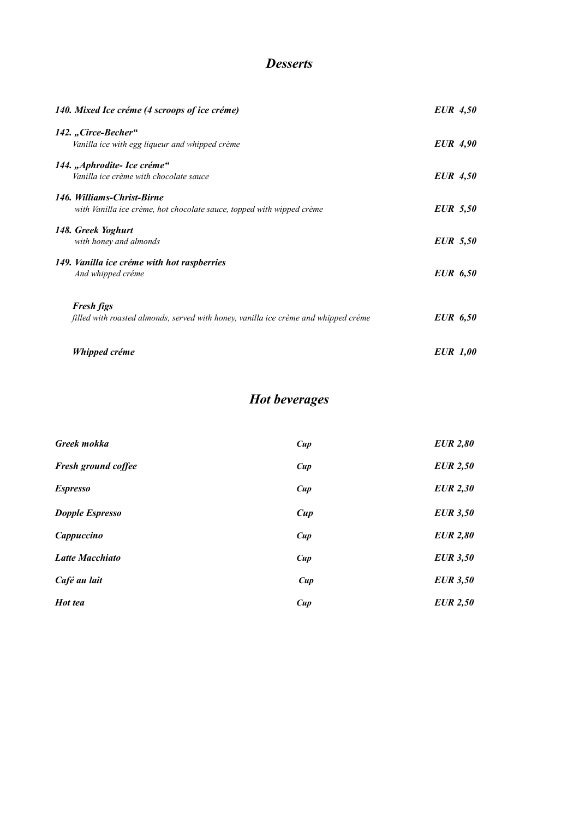# *Desserts*

| 140. Mixed Ice créme (4 scroops of ice créme)                                                            | EUR 4,50        |
|----------------------------------------------------------------------------------------------------------|-----------------|
| 142., Circe-Becher"                                                                                      |                 |
| Vanilla ice with egg liqueur and whipped crème                                                           | <b>EUR</b> 4,90 |
| 144. "Aphrodite- Ice créme"                                                                              |                 |
| Vanilla ice crème with chocolate sauce                                                                   | EUR 4,50        |
| 146. Williams-Christ-Birne                                                                               |                 |
| with Vanilla ice crème, hot chocolate sauce, topped with wipped crème                                    | <b>EUR</b> 5,50 |
| 148. Greek Yoghurt                                                                                       |                 |
| with honey and almonds                                                                                   | <b>EUR</b> 5,50 |
| 149. Vanilla ice créme with hot raspberries                                                              |                 |
| And whipped créme                                                                                        | <b>EUR</b> 6,50 |
|                                                                                                          |                 |
| <b>Fresh figs</b><br>filled with roasted almonds, served with honey, vanilla ice crème and whipped créme | <b>EUR</b> 6,50 |
|                                                                                                          |                 |
| Whipped créme                                                                                            | <b>EUR</b> 1,00 |
|                                                                                                          |                 |

# *Hot beverages*

| Greek mokka                | Cup | <b>EUR</b> 2,80 |
|----------------------------|-----|-----------------|
| <b>Fresh ground coffee</b> | Cup | <b>EUR</b> 2,50 |
| <b>Espresso</b>            | Cup | <b>EUR</b> 2,30 |
| <b>Dopple Espresso</b>     | Cup | <b>EUR 3,50</b> |
| Cappuccino                 | Cup | <b>EUR</b> 2,80 |
| <b>Latte Macchiato</b>     | Cup | <b>EUR</b> 3,50 |
| Café au lait               | Cup | <b>EUR</b> 3,50 |
| Hot tea                    | Cup | <b>EUR</b> 2,50 |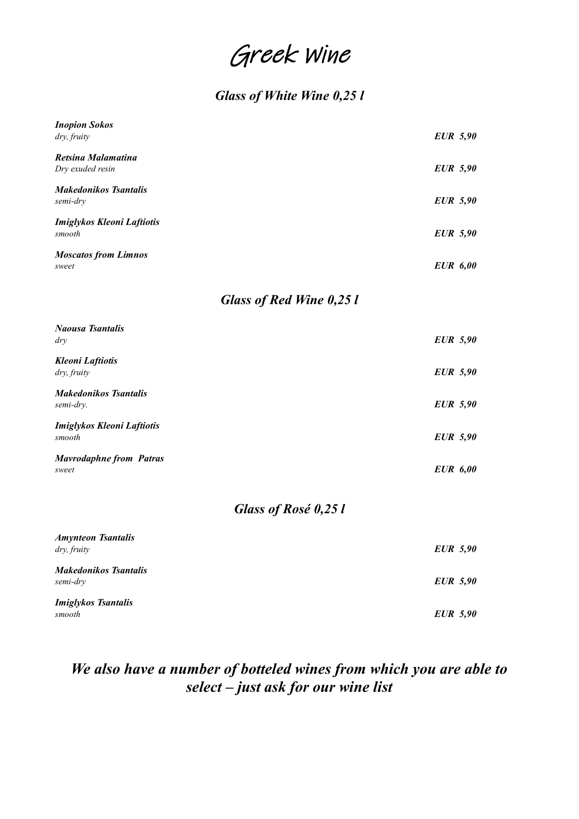# Greek Wine

# *Glass of White Wine 0,25 l*

| <b>Inopion Sokos</b><br>dry, fruity         | <b>EUR</b> 5,90 |  |
|---------------------------------------------|-----------------|--|
| Retsina Malamatina<br>Dry exuded resin      | <b>EUR</b> 5,90 |  |
| <b>Makedonikos Tsantalis</b><br>semi-dry    | <b>EUR</b> 5,90 |  |
| <b>Imiglykos Kleoni Laftiotis</b><br>smooth | <b>EUR</b> 5,90 |  |
| <b>Moscatos from Limnos</b><br>sweet        | <b>EUR</b> 6,00 |  |
| <b>Glass of Red Wine 0,25 l</b>             |                 |  |
| <b>Naousa Tsantalis</b><br>$\frac{dy}{dx}$  | <b>EUR</b> 5,90 |  |
| <b>Kleoni</b> Laftiotis<br>dry, fruity      | <b>EUR</b> 5,90 |  |
| <b>Makedonikos Tsantalis</b><br>semi-dry.   | <b>EUR</b> 5,90 |  |
| Imiglykos Kleoni Laftiotis<br>smooth        | <b>EUR</b> 5,90 |  |
| <b>Mavrodaphne from Patras</b><br>sweet     | <b>EUR</b> 6,00 |  |
| Glass of Rosé 0,25 l                        |                 |  |
| <b>Amynteon Tsantalis</b><br>dry, fruity    | <b>EUR</b> 5,90 |  |
| <b>Makedonikos Tsantalis</b><br>semi-dry    | <b>EUR</b> 5,90 |  |
| <b>Imiglykos Tsantalis</b><br>smooth        | <b>EUR</b> 5,90 |  |

# *We also have a number of botteled wines from which you are able to select – just ask for our wine list*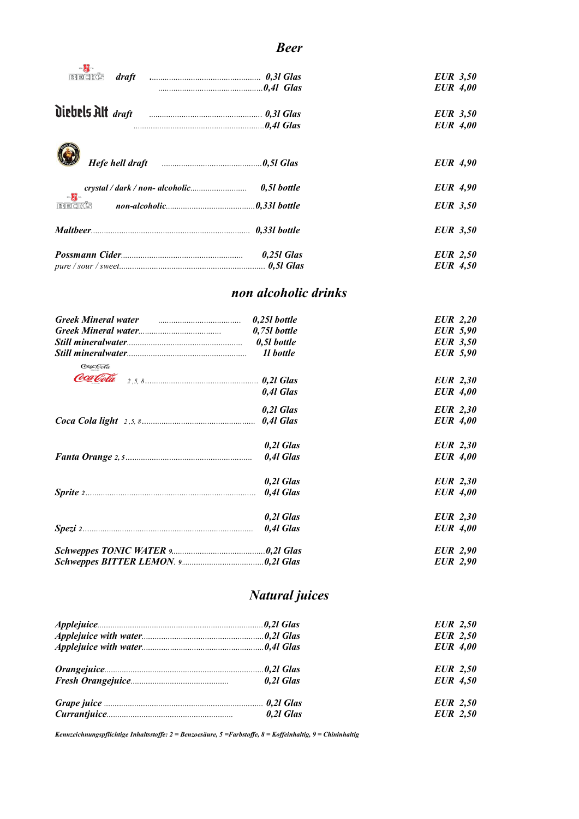#### *Beer*

| 同同日KS                                                                                                          |             | <b>EUR</b> 3,50<br><b>EUR</b> 4,00 |
|----------------------------------------------------------------------------------------------------------------|-------------|------------------------------------|
|                                                                                                                |             | <b>EUR</b> 3,50<br><b>EUR</b> 4,00 |
| Hefe hell draft [16] [16] manufactured and the Hefe hell draft [16] manufactured and the Hefe hell dramatic me |             | <b>EUR</b> 4,90                    |
|                                                                                                                | 0,51 bottle | <b>EUR</b> 4,90                    |
| $\lim_{n\rightarrow\infty}\frac{dy}{dx}$<br><b>BEAKS</b>                                                       |             | <b>EUR</b> 3,50                    |
|                                                                                                                |             | <b>EUR</b> 3,50                    |
|                                                                                                                | 0,251 Glas  | <b>EUR</b> 2,50<br><b>EUR</b> 4,50 |

### *non alcoholic drinks*

| Greek Mineral water <i>manual communication</i> | 0,251 bottle   | EUR 2,20        |
|-------------------------------------------------|----------------|-----------------|
|                                                 | $0,751$ bottle | <b>EUR</b> 5,90 |
|                                                 |                | <b>EUR</b> 3,50 |
|                                                 | 11 bottle      | <b>EUR</b> 5,90 |
| Coca-Cola                                       |                |                 |
| Coca Cola                                       |                | <b>EUR</b> 2,30 |
|                                                 | 0,41 Glas      | <b>EUR</b> 4,00 |
|                                                 | 0.21 Glas      | <b>EUR</b> 2,30 |
|                                                 |                | <b>EUR</b> 4,00 |
|                                                 | $0,2l$ Glas    | <b>EUR</b> 2,30 |
|                                                 | 0,41 Glas      | <b>EUR</b> 4,00 |
|                                                 | 0.21 Glas      | <b>EUR</b> 2,30 |
|                                                 |                | <b>EUR</b> 4,00 |
|                                                 | 0.21 Glas      | <b>EUR</b> 2,30 |
|                                                 | 0,41 Glas      | <b>EUR</b> 4,00 |
|                                                 |                | <b>EUR</b> 2,90 |
|                                                 |                | <b>EUR</b> 2,90 |

# *Natural juices*

|  | <b>EUR</b> 2,50 |
|--|-----------------|
|  | <b>EUR</b> 2,50 |
|  | <b>EUR</b> 4,00 |
|  | <b>EUR</b> 2,50 |
|  | <b>EUR</b> 4,50 |
|  | <b>EUR</b> 2,50 |
|  | <b>EUR</b> 2,50 |

*Kennzeichnungspflichtige Inhaltsstoffe: 2 = Benzoesäure, 5 =Farbstoffe, 8 = Koffeinhaltig, 9 = Chininhaltig*